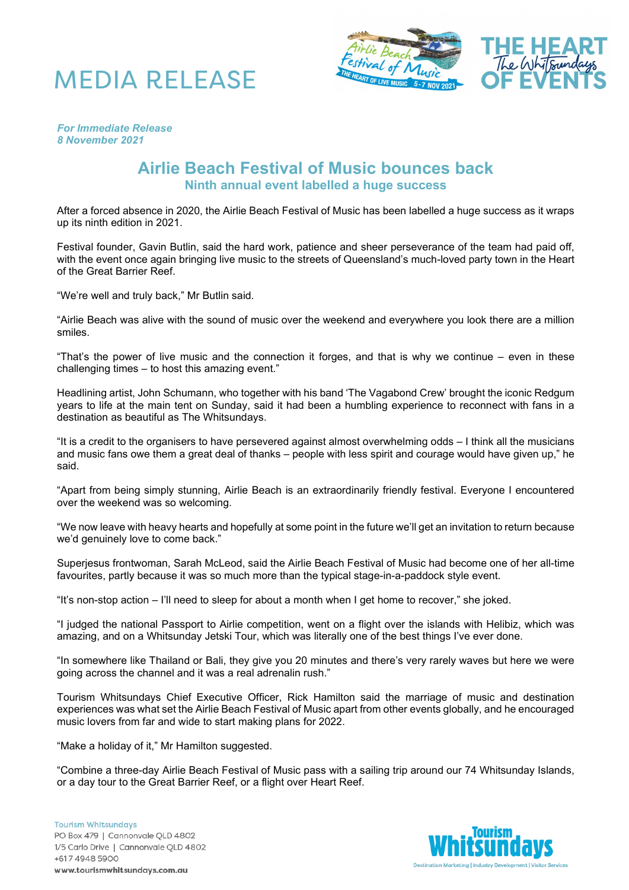



*For Immediate Release 8 November 2021*

## **Airlie Beach Festival of Music bounces back Ninth annual event labelled a huge success**

After a forced absence in 2020, the Airlie Beach Festival of Music has been labelled a huge success as it wraps up its ninth edition in 2021.

Festival founder, Gavin Butlin, said the hard work, patience and sheer perseverance of the team had paid off, with the event once again bringing live music to the streets of Queensland's much-loved party town in the Heart of the Great Barrier Reef.

"We're well and truly back," Mr Butlin said.

"Airlie Beach was alive with the sound of music over the weekend and everywhere you look there are a million smiles.

"That's the power of live music and the connection it forges, and that is why we continue – even in these challenging times – to host this amazing event."

Headlining artist, John Schumann, who together with his band 'The Vagabond Crew' brought the iconic Redgum years to life at the main tent on Sunday, said it had been a humbling experience to reconnect with fans in a destination as beautiful as The Whitsundays.

"It is a credit to the organisers to have persevered against almost overwhelming odds – I think all the musicians and music fans owe them a great deal of thanks – people with less spirit and courage would have given up," he said.

"Apart from being simply stunning, Airlie Beach is an extraordinarily friendly festival. Everyone I encountered over the weekend was so welcoming.

"We now leave with heavy hearts and hopefully at some point in the future we'll get an invitation to return because we'd genuinely love to come back."

Superjesus frontwoman, Sarah McLeod, said the Airlie Beach Festival of Music had become one of her all-time favourites, partly because it was so much more than the typical stage-in-a-paddock style event.

"It's non-stop action – I'll need to sleep for about a month when I get home to recover," she joked.

"I judged the national Passport to Airlie competition, went on a flight over the islands with Helibiz, which was amazing, and on a Whitsunday Jetski Tour, which was literally one of the best things I've ever done.

"In somewhere like Thailand or Bali, they give you 20 minutes and there's very rarely waves but here we were going across the channel and it was a real adrenalin rush."

Tourism Whitsundays Chief Executive Officer, Rick Hamilton said the marriage of music and destination experiences was what set the Airlie Beach Festival of Music apart from other events globally, and he encouraged music lovers from far and wide to start making plans for 2022.

"Make a holiday of it," Mr Hamilton suggested.

"Combine a three-day Airlie Beach Festival of Music pass with a sailing trip around our 74 Whitsunday Islands, or a day tour to the Great Barrier Reef, or a flight over Heart Reef.